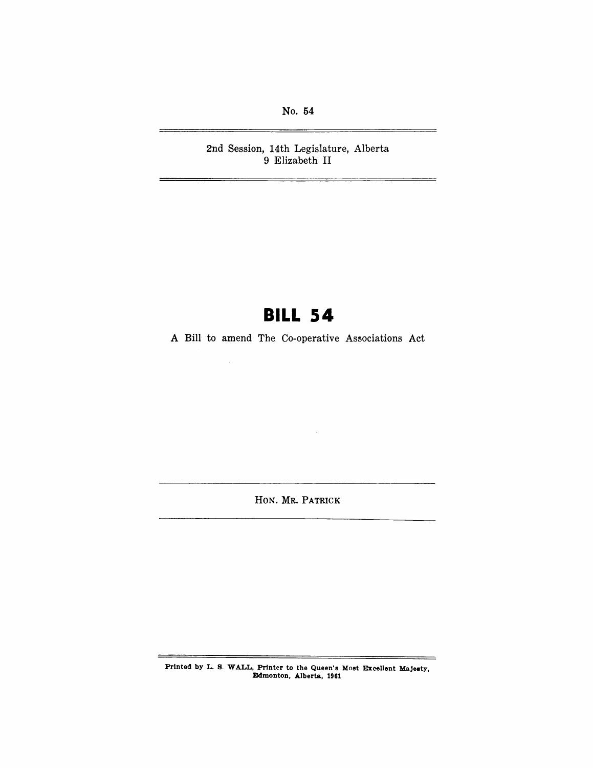No. 54

 $\equiv$ 

2nd Session, 14th Legislature, Alberta 9 Elizabeth II

# **BILL S4**

A Bill to amend The Co-operative Associations Act

HON. MR. PATRICK

 $\ddot{\phantom{a}}$ 

Prlnted by L. B. WALL, Printer to the Queen's Most Excellent Majesty, JDdmonton, Alberta, 1961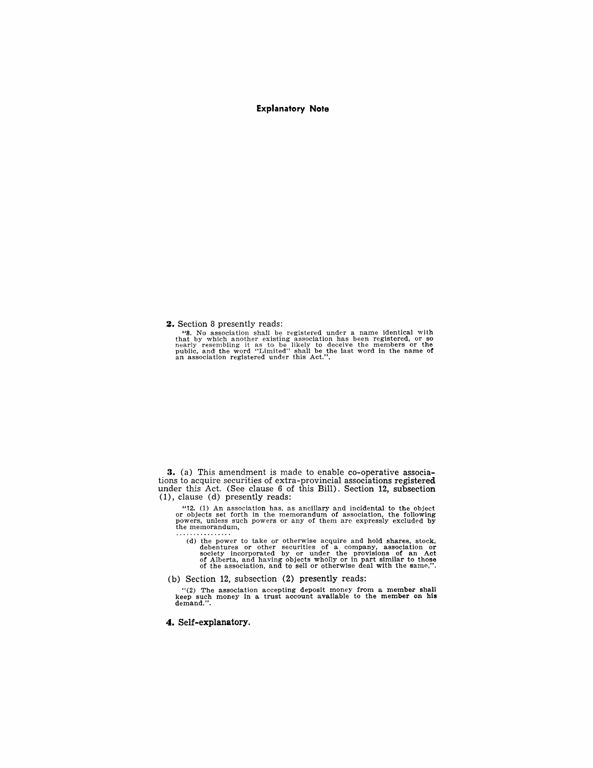## **Explanatory Note**

### **2.** Section 8 presently reads:

"s. No association shall be registered under a name identical with that by which another existing association has been registered, or so nearly resembling it as to be likely to deceive the members or the public, and the word "Limited" shall be the last word in the name of an association registered under this Act.".

**3.** (a) This amendment is made to enable co-operative associations to acquire securities of extra-provincial associations registered under this Act. (See clause 6 of this Bill). Section 12, subsection 0), clause (d) presently reads:

"12. (1) An association has, as ancillary and incidental to the object<br>or objects set forth in the memorandum of association, the following<br>powers, unless such powers or any of them are expressly excluded by<br>the memorandu

(d) the power to take or otherwise acquire and hold shares, stock, debentures or other securities of a company, association or society incorporated by or under the provisions of an Act of Alberta, and having objects wholl

(b) Section 12, subsection (2) presently reads:

 $''(2)$  The association accepting deposit money from a member shall keep such money in a trust account available to the member on his demand.".

#### **4. Self-explanatory.**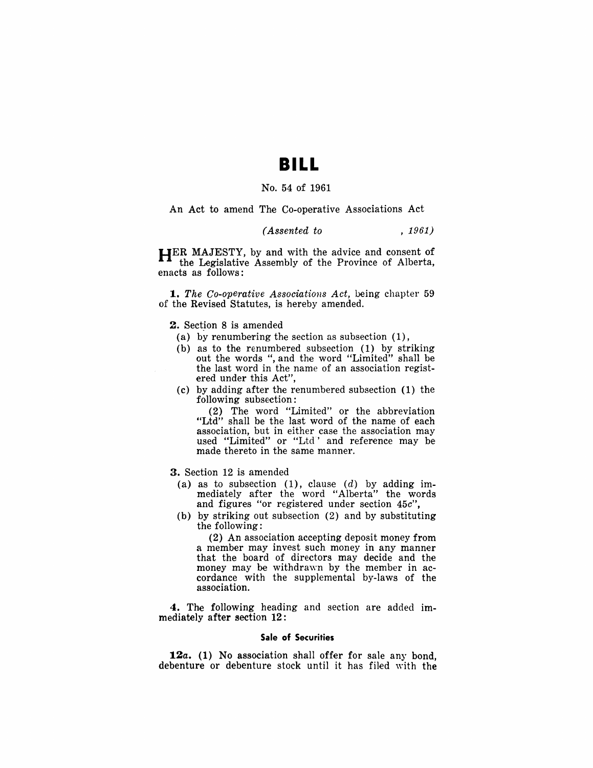## **BILL**

## No. 54 of 1961

## An Act to amend The Co-operative Associations Act

## *(Assented to* , 1961)

HER MAJESTY, by and with the advice and consent of the Legislative Assembly of the Province of Alberta, enacts as follows:

*1. The Co-operative Associations Act,* being chapter 59 of the Revised Statutes, is hereby amended.

2. Section 8 is amended

- (a) by renumbering the section as subsection (1),
- (b) as to the renumbered subsection (1) by striking out the words ", and the word "Limited" shall be the last word in the name of an association registered under this Act",
- (c) by adding after the renumbered subsection (1) the following subsection:

(2) The word "Limited" or the abbreviation "Ltd" shall be the last word of the name of each association, but in either case the association may used "Limited" or "Ltd' and reference may be made thereto in the same manner.

- 3. Section 12 is amended
- (a) as to subsection  $(1)$ , clause  $(d)$  by adding immediately after the word "Alberta" the words and figures "or registered under section *45c",*
- (b) by striking out subsection (2) and by substituting the following:

(2) An association accepting deposit money from a member may invest such money in any manner that the board of directors may decide and the money may be withdrawn by the member in accordance with the supplemental by-laws of the association.

4. The following heading and section are added immediately after section 12:

#### Sale of Securities

12a. (1) No association shall offer for sale any bond. debenture or debenture stock until it has filed with the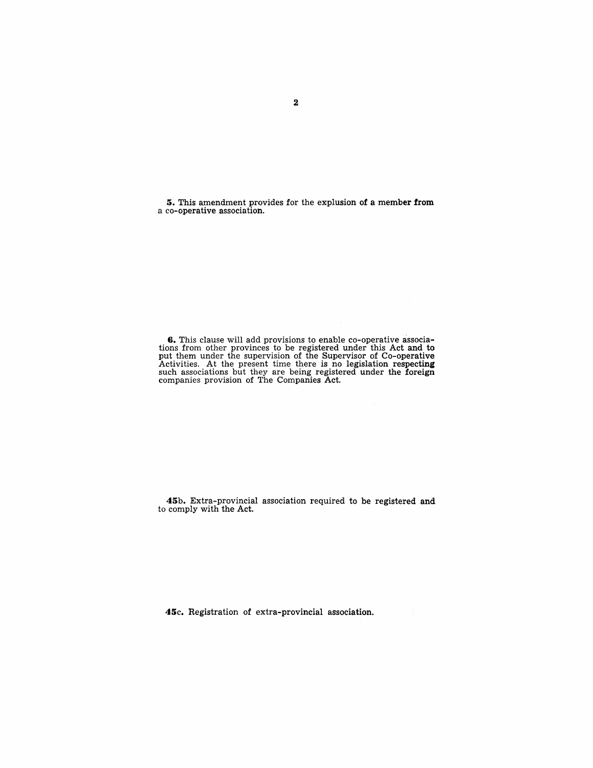5. This amendment provides for the explusion of a member from a co-operative association.

6. This clause will add provisions to enable co-operative associations from other provinces to be registered under this Act and to put them under the supervision of the Supervisor of Co-operative Activities. At the present time there is no legislation respecting such associations but they are being registered under the foreign companies provision of The Companies Act.

45b. Extra-provincial association required to be registered and to comply with the Act.

45c. Registration of extra-provincial association.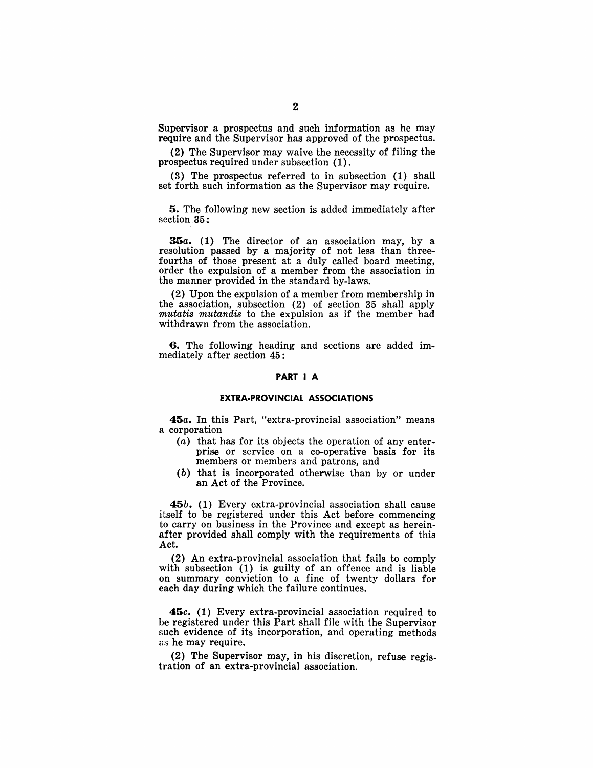Supervisor a prospectus and such information as he may require and the Supervisor has approved of the prospectus.

(2) The Supervisor may waive the necessity of filing the prospectus required under subsection (1).

(3) The prospectus referred to in subsection (1) shall set forth such information as the Supervisor may require.

5. The following new section is added immediately after section 35:

35a. (1) The director of an association may, by a resolution passed by a majority of not less than threefourths of those present at a duly called board meeting, order the expulsion of a member from the association in the manner provided in the standard by-laws.

(2) Upon the expulsion of a member from membership in the association, subsection (2) of section 35 shall apply *mutatis mutandis* to the expulsion as if the member had withdrawn from the association.

6. The following heading and sections are added immediately after section 45:

### **PART I A**

### **EXTRA-PROVINCIAL ASSOCIATIONS**

*45a.* In this Part, "extra-provincial association" means a corporation

- (a) that has for its objects the operation of any enterprise or service on a co-operative basis for its members or members and patrons, and
- (b) that is incorporated otherwise than by or under an Act of the Province.

*45b.* (1) Every extra-provincial association shall cause itself to be registered under this Act before commencing to carry on business in the Province and except as hereinafter provided shall comply with the requirements of this Act.

(2) An extra-provincial association that fails to comply with subsection (1) is guilty of an offence and is liable on summary conviction to a fine of twenty dollars for each day during which the failure continues.

*45c.* (1) Every extra-provincial association required to he registered under this Part shall file with the Supervisor such evidence of its incorporation, and operating methods as he may require.

(2) The Supervisor may, in his discretion, refuse registration of an extra-provincial association.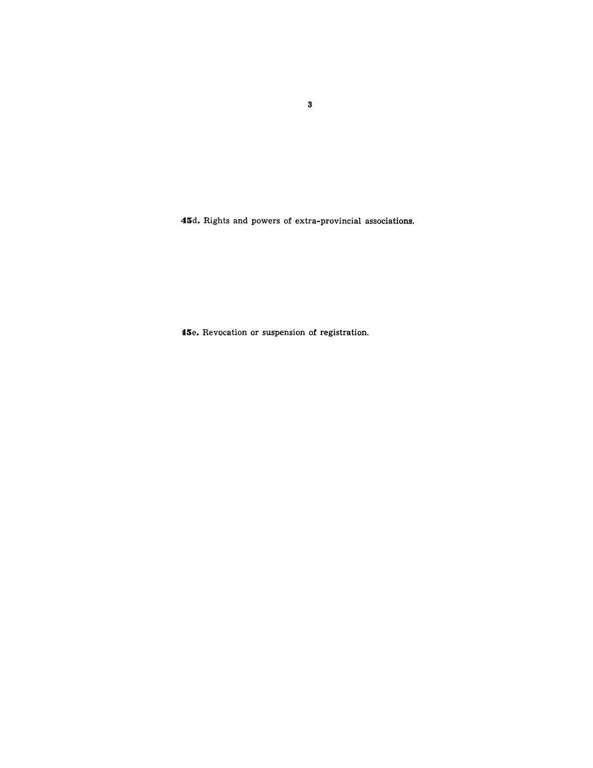**4Sd.** Rights and powers of extra-provincial associations.

**t5e.** Revocation or suspension of registration.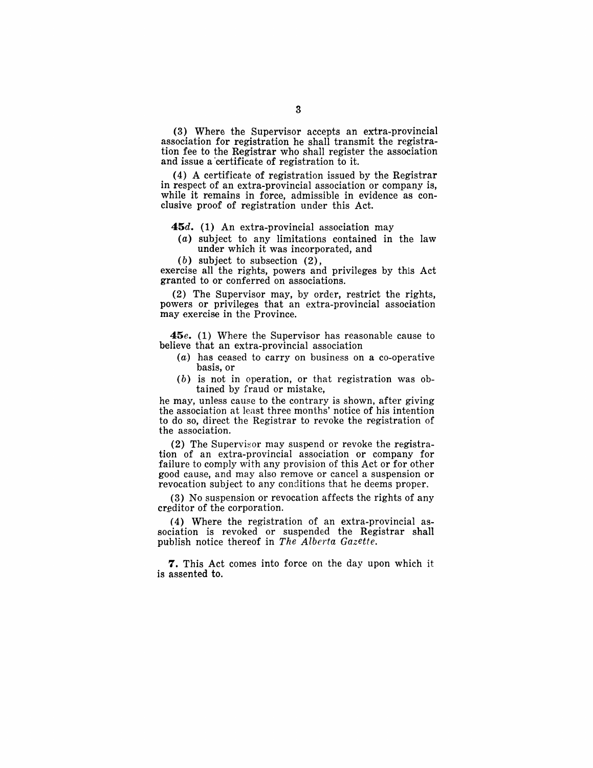(3) Where the Supervisor accepts an extra-provincial association for registration he shall transmit the registration fee to the Registrar who shall register the association and issue a 'certificate of registration to it.

(4) A certificate of registration issued by the Registrar in respect of an extra-provincial association or company is, while it remains in force, admissible in evidence as conclusive proof of registration under this Act.

#### *45d.* (1) An extra-provincial association may

- (a) subject to any limitations contained in the law under which it was incorporated, and
- (b) subject to subsection (2),

exercise all the rights, powers and privileges by this Act granted to or conferred on associations.

(2) The Supervisor may, by order, restrict the rights, powers or privileges that an extra-provincial association may exercise in the Province.

*45e.* (1) Where the Supervisor has reasonable cause to believe that an extra-provincial association

- (a) has ceased to carryon business on a co-operative basis, or
- (b) is not in operation, or that registration was obtained by fraud or mistake,

he may, unless cause to the contrary is shown, after giving the association at least three months' notice of his intention to do so, direct the Registrar to revoke the registration of the association.

(2) The Supervisor may suspend or revoke the registration of an extra-provincial association or company for failure to comply with any provision of this Act or for other good cause, and may also remove or cancel a suspension or revocation subject to any conditions that he deems proper.

(3) No suspension or revocation affects the rights of any creditor of the corporation.

(4) Where the registration of an extra-provincial association is revoked or suspended the Registrar shall publish notice thereof in *The Alberta Gazette.* 

7. This Act comes into force on the day upon which it is assented to.